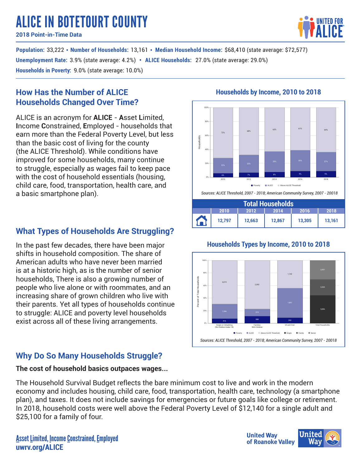# ALICE IN BOTETOURT COUNTY

**2018 Point-in-Time Data**

**Population:** 33,222 • Number of Households: 13,161 • Median Household Income: \$68,410 (state average: \$72,577) 3.9% (state average: 4.2%) 27.0% (state average: 29.0%) **• Unemployment Rate: ALICE Households: Households in Poverty:** 9.0% (state average: 10.0%)

## **How Has the Number of ALICE Households Changed Over Time?**

ALICE is an acronym for **ALICE** - **A**sset **L**imited, **I**ncome **C**onstrained, **E**mployed - households that earn more than the Federal Poverty Level, but less than the basic cost of living for the county (the ALICE Threshold). While conditions have improved for some households, many continue to struggle, especially as wages fail to keep pace with the cost of household essentials (housing, child care, food, transportation, health care, and a basic smartphone plan).

## **What Types of Households Are Struggling?**

In the past few decades, there have been major shifts in household composition. The share of American adults who have never been married is at a historic high, as is the number of senior households, There is also a growing number of people who live alone or with roommates, and an increasing share of grown children who live with their parents. Yet all types of households continue to struggle: ALICE and poverty level households exist across all of these living arrangements.

# **Why Do So Many Households Struggle?**

### **The cost of household basics outpaces wages...**

The Household Survival Budget reflects the bare minimum cost to live and work in the modern economy and includes housing, child care, food, transportation, health care, technology (a smartphone plan), and taxes. It does not include savings for emergencies or future goals like college or retirement. In 2018, household costs were well above the Federal Poverty Level of \$12,140 for a single adult and \$25,100 for a family of four.

## **Households by Income, 2010 to 2018**



### **Households Types by Income, 2010 to 2018**